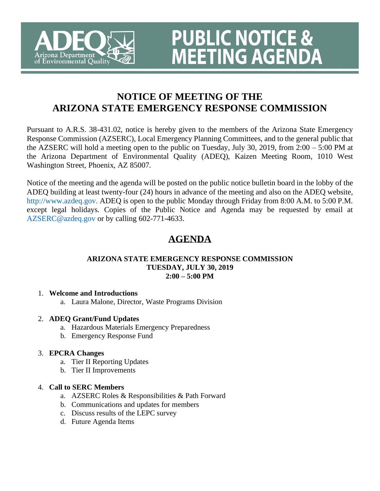

# **NOTICE OF MEETING OF THE ARIZONA STATE EMERGENCY RESPONSE COMMISSION**

**PUBLIC NOTICE &<br>MEETING AGENDA** 

Pursuant to A.R.S. 38-431.02, notice is hereby given to the members of the Arizona State Emergency Response Commission (AZSERC), Local Emergency Planning Committees, and to the general public that the AZSERC will hold a meeting open to the public on Tuesday, July 30, 2019, from 2:00 – 5:00 PM at the Arizona Department of Environmental Quality (ADEQ), Kaizen Meeting Room, 1010 West Washington Street, Phoenix, AZ 85007.

Notice of the meeting and the agenda will be posted on the public notice bulletin board in the lobby of the ADEQ building at least twenty-four (24) hours in advance of the meeting and also on the ADEQ website, http://www.azdeq.gov. ADEQ is open to the public Monday through Friday from 8:00 A.M. to 5:00 P.M. except legal holidays. Copies of the Public Notice and Agenda may be requested by email at AZSERC@azdeq.gov or by calling 602-771-4633.

## **AGENDA**

#### **ARIZONA STATE EMERGENCY RESPONSE COMMISSION TUESDAY, JULY 30, 2019 2:00 – 5:00 PM**

## 1. **Welcome and Introductions**

a. Laura Malone, Director, Waste Programs Division

## 2. **ADEQ Grant/Fund Updates**

- a. Hazardous Materials Emergency Preparedness
- b. Emergency Response Fund

## 3. **EPCRA Changes**

- a. Tier II Reporting Updates
- b. Tier II Improvements

## 4. **Call to SERC Members**

- a. AZSERC Roles & Responsibilities & Path Forward
- b. Communications and updates for members
- c. Discuss results of the LEPC survey
- d. Future Agenda Items